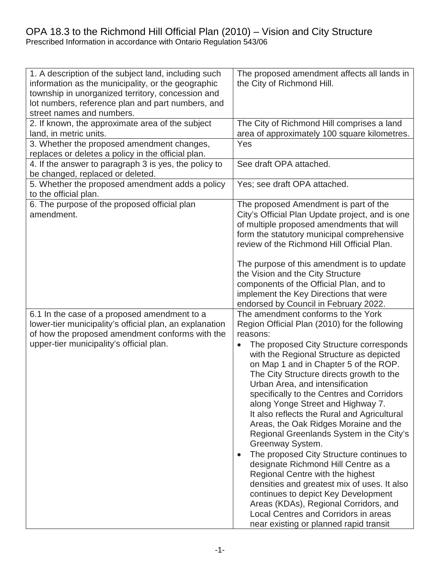## OPA 18.3 to the Richmond Hill Official Plan (2010) – Vision and City Structure Prescribed Information in accordance with Ontario Regulation 543/06

| 1. A description of the subject land, including such<br>information as the municipality, or the geographic<br>township in unorganized territory, concession and<br>lot numbers, reference plan and part numbers, and<br>street names and numbers. | The proposed amendment affects all lands in<br>the City of Richmond Hill.                                                                                                                                                                                                                                                                                                                                                                                                                                                                                                                                                                                                                                                                                                                                                                                                                       |
|---------------------------------------------------------------------------------------------------------------------------------------------------------------------------------------------------------------------------------------------------|-------------------------------------------------------------------------------------------------------------------------------------------------------------------------------------------------------------------------------------------------------------------------------------------------------------------------------------------------------------------------------------------------------------------------------------------------------------------------------------------------------------------------------------------------------------------------------------------------------------------------------------------------------------------------------------------------------------------------------------------------------------------------------------------------------------------------------------------------------------------------------------------------|
| 2. If known, the approximate area of the subject<br>land, in metric units.<br>3. Whether the proposed amendment changes,                                                                                                                          | The City of Richmond Hill comprises a land<br>area of approximately 100 square kilometres.<br>Yes                                                                                                                                                                                                                                                                                                                                                                                                                                                                                                                                                                                                                                                                                                                                                                                               |
| replaces or deletes a policy in the official plan.<br>4. If the answer to paragraph 3 is yes, the policy to<br>be changed, replaced or deleted.                                                                                                   | See draft OPA attached.                                                                                                                                                                                                                                                                                                                                                                                                                                                                                                                                                                                                                                                                                                                                                                                                                                                                         |
| 5. Whether the proposed amendment adds a policy<br>to the official plan.                                                                                                                                                                          | Yes; see draft OPA attached.                                                                                                                                                                                                                                                                                                                                                                                                                                                                                                                                                                                                                                                                                                                                                                                                                                                                    |
| 6. The purpose of the proposed official plan<br>amendment.                                                                                                                                                                                        | The proposed Amendment is part of the<br>City's Official Plan Update project, and is one<br>of multiple proposed amendments that will<br>form the statutory municipal comprehensive<br>review of the Richmond Hill Official Plan.                                                                                                                                                                                                                                                                                                                                                                                                                                                                                                                                                                                                                                                               |
|                                                                                                                                                                                                                                                   | The purpose of this amendment is to update<br>the Vision and the City Structure<br>components of the Official Plan, and to<br>implement the Key Directions that were<br>endorsed by Council in February 2022.                                                                                                                                                                                                                                                                                                                                                                                                                                                                                                                                                                                                                                                                                   |
| 6.1 In the case of a proposed amendment to a<br>lower-tier municipality's official plan, an explanation<br>of how the proposed amendment conforms with the<br>upper-tier municipality's official plan.                                            | The amendment conforms to the York<br>Region Official Plan (2010) for the following<br>reasons:<br>The proposed City Structure corresponds<br>with the Regional Structure as depicted<br>on Map 1 and in Chapter 5 of the ROP.<br>The City Structure directs growth to the<br>Urban Area, and intensification<br>specifically to the Centres and Corridors<br>along Yonge Street and Highway 7.<br>It also reflects the Rural and Agricultural<br>Areas, the Oak Ridges Moraine and the<br>Regional Greenlands System in the City's<br>Greenway System.<br>The proposed City Structure continues to<br>designate Richmond Hill Centre as a<br>Regional Centre with the highest<br>densities and greatest mix of uses. It also<br>continues to depict Key Development<br>Areas (KDAs), Regional Corridors, and<br>Local Centres and Corridors in areas<br>near existing or planned rapid transit |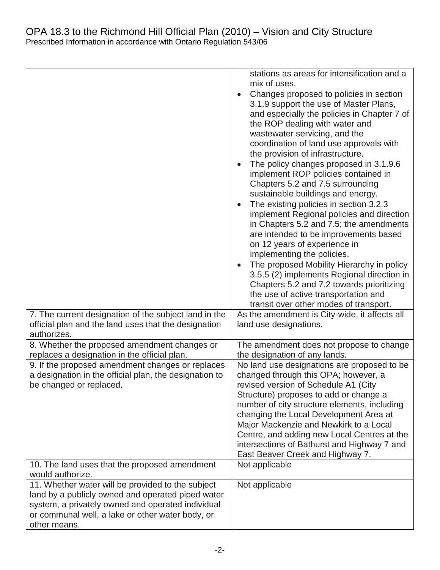| 7. The current designation of the subject land in the<br>official plan and the land uses that the designation                                                                                                                   | stations as areas for intensification and a<br>mix of uses.<br>Changes proposed to policies in section<br>3.1.9 support the use of Master Plans,<br>and especially the policies in Chapter 7 of<br>the ROP dealing with water and<br>wastewater servicing, and the<br>coordination of land use approvals with<br>the provision of infrastructure.<br>The policy changes proposed in 3.1.9.6<br>implement ROP policies contained in<br>Chapters 5.2 and 7.5 surrounding<br>sustainable buildings and energy.<br>The existing policies in section 3.2.3<br>implement Regional policies and direction<br>in Chapters 5.2 and 7.5; the amendments<br>are intended to be improvements based<br>on 12 years of experience in<br>implementing the policies.<br>The proposed Mobility Hierarchy in policy<br>3.5.5 (2) implements Regional direction in<br>Chapters 5.2 and 7.2 towards prioritizing<br>the use of active transportation and<br>transit over other modes of transport.<br>As the amendment is City-wide, it affects all<br>land use designations. |
|---------------------------------------------------------------------------------------------------------------------------------------------------------------------------------------------------------------------------------|-----------------------------------------------------------------------------------------------------------------------------------------------------------------------------------------------------------------------------------------------------------------------------------------------------------------------------------------------------------------------------------------------------------------------------------------------------------------------------------------------------------------------------------------------------------------------------------------------------------------------------------------------------------------------------------------------------------------------------------------------------------------------------------------------------------------------------------------------------------------------------------------------------------------------------------------------------------------------------------------------------------------------------------------------------------|
| authorizes.<br>8. Whether the proposed amendment changes or                                                                                                                                                                     | The amendment does not propose to change                                                                                                                                                                                                                                                                                                                                                                                                                                                                                                                                                                                                                                                                                                                                                                                                                                                                                                                                                                                                                  |
| replaces a designation in the official plan.                                                                                                                                                                                    | the designation of any lands.                                                                                                                                                                                                                                                                                                                                                                                                                                                                                                                                                                                                                                                                                                                                                                                                                                                                                                                                                                                                                             |
| 9. If the proposed amendment changes or replaces<br>a designation in the official plan, the designation to<br>be changed or replaced.                                                                                           | No land use designations are proposed to be<br>changed through this OPA; however, a<br>revised version of Schedule A1 (City<br>Structure) proposes to add or change a<br>number of city structure elements, including<br>changing the Local Development Area at<br>Major Mackenzie and Newkirk to a Local<br>Centre, and adding new Local Centres at the<br>intersections of Bathurst and Highway 7 and<br>East Beaver Creek and Highway 7.                                                                                                                                                                                                                                                                                                                                                                                                                                                                                                                                                                                                               |
| 10. The land uses that the proposed amendment<br>would authorize.                                                                                                                                                               | Not applicable                                                                                                                                                                                                                                                                                                                                                                                                                                                                                                                                                                                                                                                                                                                                                                                                                                                                                                                                                                                                                                            |
| 11. Whether water will be provided to the subject<br>land by a publicly owned and operated piped water<br>system, a privately owned and operated individual<br>or communal well, a lake or other water body, or<br>other means. | Not applicable                                                                                                                                                                                                                                                                                                                                                                                                                                                                                                                                                                                                                                                                                                                                                                                                                                                                                                                                                                                                                                            |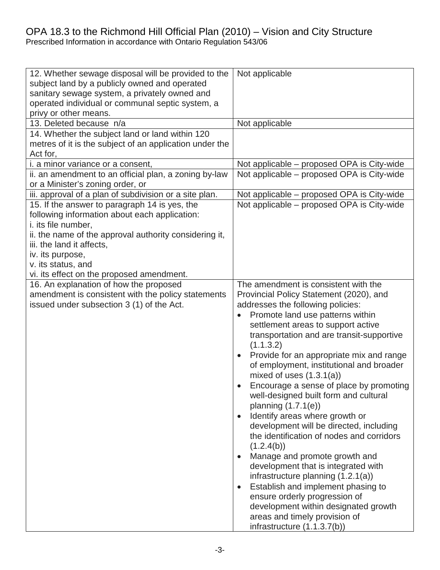## OPA 18.3 to the Richmond Hill Official Plan (2010) – Vision and City Structure

Prescribed Information in accordance with Ontario Regulation 543/06

| 12. Whether sewage disposal will be provided to the<br>subject land by a publicly owned and operated<br>sanitary sewage system, a privately owned and<br>operated individual or communal septic system, a<br>privy or other means.                                                                  | Not applicable                                                                                                                                                                                                                                                                                                                                                                                                                                                                                                                                                                                                                                                                                                                                                                                           |
|-----------------------------------------------------------------------------------------------------------------------------------------------------------------------------------------------------------------------------------------------------------------------------------------------------|----------------------------------------------------------------------------------------------------------------------------------------------------------------------------------------------------------------------------------------------------------------------------------------------------------------------------------------------------------------------------------------------------------------------------------------------------------------------------------------------------------------------------------------------------------------------------------------------------------------------------------------------------------------------------------------------------------------------------------------------------------------------------------------------------------|
| 13. Deleted because n/a                                                                                                                                                                                                                                                                             | Not applicable                                                                                                                                                                                                                                                                                                                                                                                                                                                                                                                                                                                                                                                                                                                                                                                           |
| 14. Whether the subject land or land within 120                                                                                                                                                                                                                                                     |                                                                                                                                                                                                                                                                                                                                                                                                                                                                                                                                                                                                                                                                                                                                                                                                          |
| metres of it is the subject of an application under the                                                                                                                                                                                                                                             |                                                                                                                                                                                                                                                                                                                                                                                                                                                                                                                                                                                                                                                                                                                                                                                                          |
| Act for,                                                                                                                                                                                                                                                                                            |                                                                                                                                                                                                                                                                                                                                                                                                                                                                                                                                                                                                                                                                                                                                                                                                          |
| i. a minor variance or a consent,                                                                                                                                                                                                                                                                   | Not applicable – proposed OPA is City-wide                                                                                                                                                                                                                                                                                                                                                                                                                                                                                                                                                                                                                                                                                                                                                               |
| ii. an amendment to an official plan, a zoning by-law<br>or a Minister's zoning order, or                                                                                                                                                                                                           | Not applicable – proposed OPA is City-wide                                                                                                                                                                                                                                                                                                                                                                                                                                                                                                                                                                                                                                                                                                                                                               |
| iii. approval of a plan of subdivision or a site plan.                                                                                                                                                                                                                                              | Not applicable – proposed OPA is City-wide                                                                                                                                                                                                                                                                                                                                                                                                                                                                                                                                                                                                                                                                                                                                                               |
| 15. If the answer to paragraph 14 is yes, the<br>following information about each application:<br>i. its file number,<br>ii. the name of the approval authority considering it,<br>iii. the land it affects,<br>iv. its purpose,<br>v. its status, and<br>vi. its effect on the proposed amendment. | Not applicable – proposed OPA is City-wide                                                                                                                                                                                                                                                                                                                                                                                                                                                                                                                                                                                                                                                                                                                                                               |
| 16. An explanation of how the proposed<br>amendment is consistent with the policy statements                                                                                                                                                                                                        | The amendment is consistent with the<br>Provincial Policy Statement (2020), and                                                                                                                                                                                                                                                                                                                                                                                                                                                                                                                                                                                                                                                                                                                          |
| issued under subsection 3 (1) of the Act.                                                                                                                                                                                                                                                           | addresses the following policies:                                                                                                                                                                                                                                                                                                                                                                                                                                                                                                                                                                                                                                                                                                                                                                        |
|                                                                                                                                                                                                                                                                                                     | Promote land use patterns within<br>settlement areas to support active<br>transportation and are transit-supportive<br>(1.1.3.2)<br>Provide for an appropriate mix and range<br>of employment, institutional and broader<br>mixed of uses $(1.3.1(a))$<br>Encourage a sense of place by promoting<br>well-designed built form and cultural<br>planning $(1.7.1(e))$<br>Identify areas where growth or<br>development will be directed, including<br>the identification of nodes and corridors<br>(1.2.4(b))<br>Manage and promote growth and<br>development that is integrated with<br>infrastructure planning (1.2.1(a))<br>Establish and implement phasing to<br>ensure orderly progression of<br>development within designated growth<br>areas and timely provision of<br>infrastructure (1.1.3.7(b)) |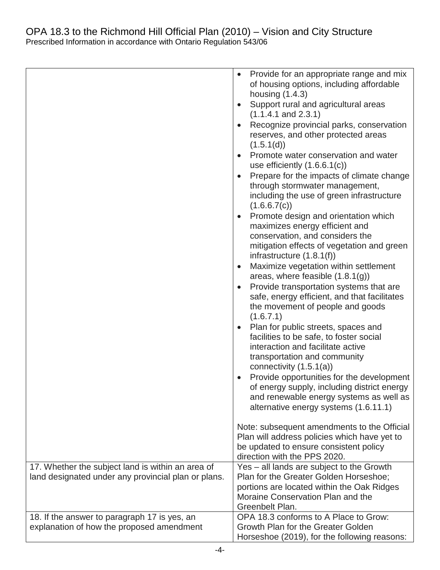|                                                     | Provide for an appropriate range and mix<br>of housing options, including affordable<br>housing $(1.4.3)$ |
|-----------------------------------------------------|-----------------------------------------------------------------------------------------------------------|
|                                                     | Support rural and agricultural areas                                                                      |
|                                                     | $(1.1.4.1$ and $2.3.1)$                                                                                   |
|                                                     | Recognize provincial parks, conservation                                                                  |
|                                                     | reserves, and other protected areas<br>(1.5.1(d))                                                         |
|                                                     | Promote water conservation and water<br>use efficiently $(1.6.6.1(c))$                                    |
|                                                     | Prepare for the impacts of climate change                                                                 |
|                                                     | through stormwater management,<br>including the use of green infrastructure<br>(1.6.6.7(c))               |
|                                                     | Promote design and orientation which<br>maximizes energy efficient and                                    |
|                                                     | conservation, and considers the                                                                           |
|                                                     | mitigation effects of vegetation and green<br>infrastructure $(1.8.1(f))$                                 |
|                                                     | Maximize vegetation within settlement<br>areas, where feasible $(1.8.1(g))$                               |
|                                                     | Provide transportation systems that are                                                                   |
|                                                     | safe, energy efficient, and that facilitates<br>the movement of people and goods<br>(1.6.7.1)             |
|                                                     | Plan for public streets, spaces and                                                                       |
|                                                     | facilities to be safe, to foster social                                                                   |
|                                                     | interaction and facilitate active                                                                         |
|                                                     | transportation and community                                                                              |
|                                                     | connectivity $(1.5.1(a))$                                                                                 |
|                                                     | Provide opportunities for the development                                                                 |
|                                                     | of energy supply, including district energy                                                               |
|                                                     | and renewable energy systems as well as                                                                   |
|                                                     | alternative energy systems (1.6.11.1)                                                                     |
|                                                     | Note: subsequent amendments to the Official                                                               |
|                                                     | Plan will address policies which have yet to                                                              |
|                                                     | be updated to ensure consistent policy                                                                    |
|                                                     | direction with the PPS 2020.                                                                              |
| 17. Whether the subject land is within an area of   | Yes - all lands are subject to the Growth                                                                 |
| land designated under any provincial plan or plans. | Plan for the Greater Golden Horseshoe:                                                                    |
|                                                     | portions are located within the Oak Ridges                                                                |
|                                                     | Moraine Conservation Plan and the                                                                         |
|                                                     | Greenbelt Plan.                                                                                           |
| 18. If the answer to paragraph 17 is yes, an        | OPA 18.3 conforms to A Place to Grow:                                                                     |
| explanation of how the proposed amendment           | Growth Plan for the Greater Golden                                                                        |
|                                                     | Horseshoe (2019), for the following reasons:                                                              |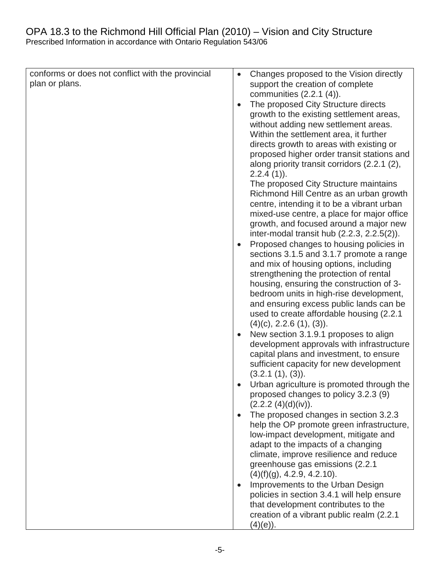| conforms or does not conflict with the provincial<br>plan or plans. | Changes proposed to the Vision directly<br>$\bullet$<br>support the creation of complete<br>communities $(2.2.1 (4))$ .<br>The proposed City Structure directs<br>growth to the existing settlement areas,<br>without adding new settlement areas.<br>Within the settlement area, it further<br>directs growth to areas with existing or<br>proposed higher order transit stations and<br>along priority transit corridors (2.2.1 (2),<br>$2.2.4(1)$ .<br>The proposed City Structure maintains<br>Richmond Hill Centre as an urban growth<br>centre, intending it to be a vibrant urban<br>mixed-use centre, a place for major office<br>growth, and focused around a major new<br>inter-modal transit hub (2.2.3, 2.2.5(2)).<br>Proposed changes to housing policies in<br>sections 3.1.5 and 3.1.7 promote a range<br>and mix of housing options, including<br>strengthening the protection of rental<br>housing, ensuring the construction of 3-<br>bedroom units in high-rise development,<br>and ensuring excess public lands can be<br>used to create affordable housing (2.2.1)<br>$(4)(c)$ , 2.2.6 $(1)$ , $(3)$ ).<br>New section 3.1.9.1 proposes to align<br>development approvals with infrastructure<br>capital plans and investment, to ensure<br>sufficient capacity for new development<br>$(3.2.1(1), (3))$ .<br>Urban agriculture is promoted through the<br>proposed changes to policy 3.2.3 (9)<br>(2.2.2 (4)(d)(iv)).<br>The proposed changes in section 3.2.3<br>help the OP promote green infrastructure,<br>low-impact development, mitigate and<br>adapt to the impacts of a changing<br>climate, improve resilience and reduce<br>greenhouse gas emissions (2.2.1<br>$(4)(f)(g)$ , 4.2.9, 4.2.10).<br>Improvements to the Urban Design<br>policies in section 3.4.1 will help ensure<br>that development contributes to the |
|---------------------------------------------------------------------|--------------------------------------------------------------------------------------------------------------------------------------------------------------------------------------------------------------------------------------------------------------------------------------------------------------------------------------------------------------------------------------------------------------------------------------------------------------------------------------------------------------------------------------------------------------------------------------------------------------------------------------------------------------------------------------------------------------------------------------------------------------------------------------------------------------------------------------------------------------------------------------------------------------------------------------------------------------------------------------------------------------------------------------------------------------------------------------------------------------------------------------------------------------------------------------------------------------------------------------------------------------------------------------------------------------------------------------------------------------------------------------------------------------------------------------------------------------------------------------------------------------------------------------------------------------------------------------------------------------------------------------------------------------------------------------------------------------------------------------------------------------------------------------------------------------------------------------------------------|
|                                                                     | creation of a vibrant public realm (2.2.1)                                                                                                                                                                                                                                                                                                                                                                                                                                                                                                                                                                                                                                                                                                                                                                                                                                                                                                                                                                                                                                                                                                                                                                                                                                                                                                                                                                                                                                                                                                                                                                                                                                                                                                                                                                                                             |
|                                                                     | (4)(e)).                                                                                                                                                                                                                                                                                                                                                                                                                                                                                                                                                                                                                                                                                                                                                                                                                                                                                                                                                                                                                                                                                                                                                                                                                                                                                                                                                                                                                                                                                                                                                                                                                                                                                                                                                                                                                                               |